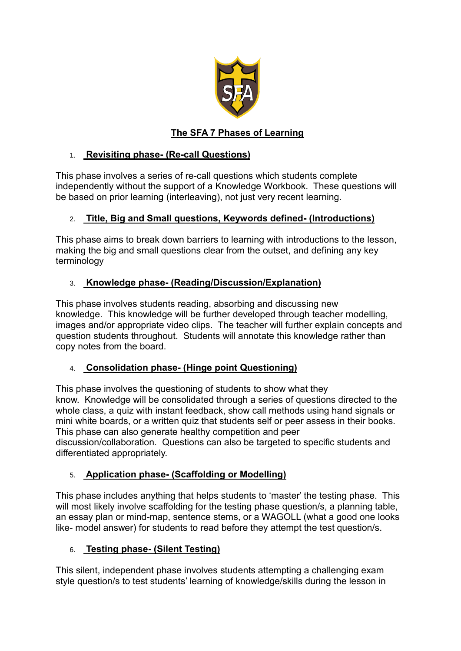

# **The SFA 7 Phases of Learning**

#### 1. **Revisiting phase- (Re-call Questions)**

This phase involves a series of re-call questions which students complete independently without the support of a Knowledge Workbook. These questions will be based on prior learning (interleaving), not just very recent learning.

#### 2. **Title, Big and Small questions, Keywords defined- (Introductions)**

This phase aims to break down barriers to learning with introductions to the lesson, making the big and small questions clear from the outset, and defining any key terminology

## 3. **Knowledge phase- (Reading/Discussion/Explanation)**

This phase involves students reading, absorbing and discussing new knowledge. This knowledge will be further developed through teacher modelling, images and/or appropriate video clips. The teacher will further explain concepts and question students throughout. Students will annotate this knowledge rather than copy notes from the board.

## 4. **Consolidation phase- (Hinge point Questioning)**

This phase involves the questioning of students to show what they know. Knowledge will be consolidated through a series of questions directed to the whole class, a quiz with instant feedback, show call methods using hand signals or mini white boards, or a written quiz that students self or peer assess in their books. This phase can also generate healthy competition and peer discussion/collaboration. Questions can also be targeted to specific students and differentiated appropriately.

## 5. **Application phase- (Scaffolding or Modelling)**

This phase includes anything that helps students to 'master' the testing phase. This will most likely involve scaffolding for the testing phase question/s, a planning table, an essay plan or mind-map, sentence stems, or a WAGOLL (what a good one looks like- model answer) for students to read before they attempt the test question/s.

#### 6. **Testing phase- (Silent Testing)**

This silent, independent phase involves students attempting a challenging exam style question/s to test students' learning of knowledge/skills during the lesson in